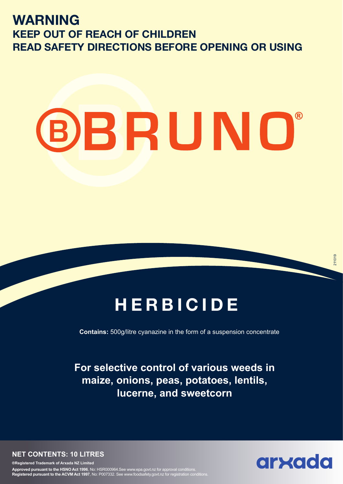## **WARNING KEEP OUT OF REACH OF CHILDREN READ SAFETY DIRECTIONS BEFORE OPENING OR USING**

# **BBRUNO®**

## **HERBICIDE**

**Contains:** 500g/litre cyanazine in the form of a suspension concentrate

**For selective control of various weeds in maize, onions, peas, potatoes, lentils, lucerne, and sweetcorn**

**NET CONTENTS: 10 LITRES**

**®Registered Trademark of Arxada NZ Limited Approved pursuant to the HSNO Act 1996**, No: HSR000964.See www.epa.govt.nz for approval conditions. **Registered pursuant to the ACVM Act 1997**, No: P007332. See www.foodsafety.govt.nz for registration conditions.